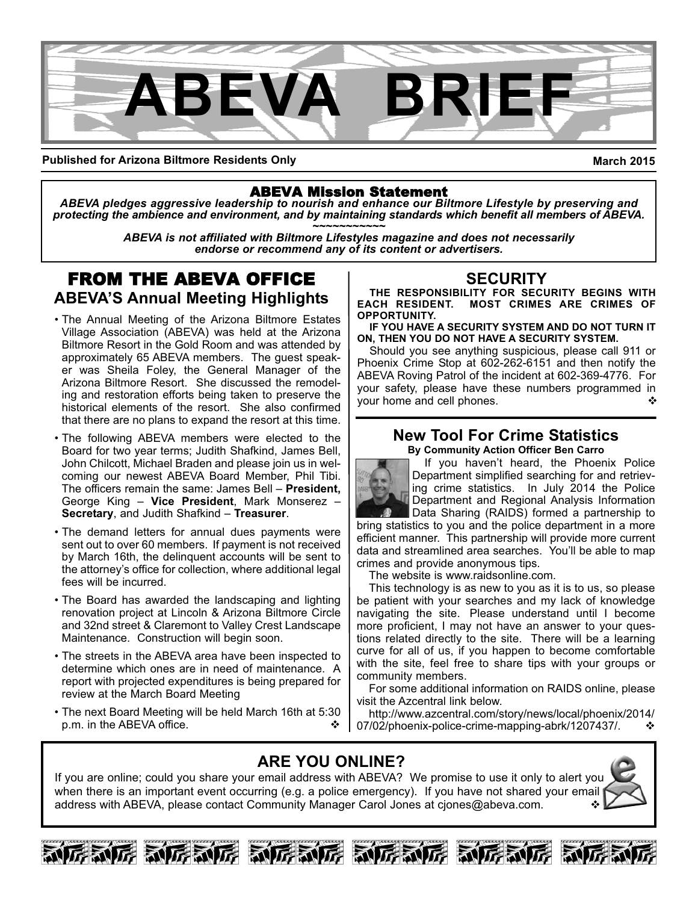

**Published for Arizona Biltmore Residents Only**

**March 2015**

### ABEVA Mission Statement

*ABEVA pledges aggressive leadership to nourish and enhance our Biltmore Lifestyle by preserving and protecting the ambience and environment, and by maintaining standards which benefit all members of ABEVA. ~~~~~~~~~~~*

*ABEVA is not affiliated with Biltmore Lifestyles magazine and does not necessarily endorse or recommend any of its content or advertisers.*

# FROM THE ABEVA OFFICE **ABEVA'S Annual Meeting Highlights**

- The Annual Meeting of the Arizona Biltmore Estates Village Association (ABEVA) was held at the Arizona Biltmore Resort in the Gold Room and was attended by approximately 65 ABEVA members. The guest speaker was Sheila Foley, the General Manager of the Arizona Biltmore Resort. She discussed the remodeling and restoration efforts being taken to preserve the historical elements of the resort. She also confirmed that there are no plans to expand the resort at this time.
- The following ABEVA members were elected to the Board for two year terms; Judith Shafkind, James Bell, John Chilcott, Michael Braden and please join us in welcoming our newest ABEVA Board Member, Phil Tibi. The officers remain the same: James Bell – **President,** George King – **Vice President**, Mark Monserez – **Secretary**, and Judith Shafkind – **Treasurer**.
- The demand letters for annual dues payments were sent out to over 60 members. If payment is not received by March 16th, the delinquent accounts will be sent to the attorney's office for collection, where additional legal fees will be incurred.
- The Board has awarded the landscaping and lighting renovation project at Lincoln & Arizona Biltmore Circle and 32nd street & Claremont to Valley Crest Landscape Maintenance. Construction will begin soon.
- The streets in the ABEVA area have been inspected to determine which ones are in need of maintenance. A report with projected expenditures is being prepared for review at the March Board Meeting
- The next Board Meeting will be held March 16th at 5:30 p.m. in the ABEVA office.

# **SECURITY**

**THE RESPONSIBILITY FOR SECURITY BEGINS WITH EACH RESIDENT. MOST CRIMES ARE CRIMES OF OPPORTUNITY.** 

**IF YOU HAVE A SECURITY SYSTEM AND DO NOT TURN IT ON, THEN YOU DO NOT HAVE A SECURITY SYSTEM.**

Should you see anything suspicious, please call 911 or Phoenix Crime Stop at 602-262-6151 and then notify the ABEVA Roving Patrol of the incident at 602-369-4776. For your safety, please have these numbers programmed in your home and cell phones. ❖

#### **New Tool For Crime Statistics By Community Action Officer Ben Carro**



If you haven't heard, the Phoenix Police Department simplified searching for and retrieving crime statistics. In July 2014 the Police Department and Regional Analysis Information

Data Sharing (RAIDS) formed a partnership to bring statistics to you and the police department in a more efficient manner. This partnership will provide more current data and streamlined area searches. You'll be able to map crimes and provide anonymous tips.

The website is www.raidsonline.com.

This technology is as new to you as it is to us, so please be patient with your searches and my lack of knowledge navigating the site. Please understand until I become more proficient, I may not have an answer to your questions related directly to the site. There will be a learning curve for all of us, if you happen to become comfortable with the site, feel free to share tips with your groups or community members.

For some additional information on RAIDS online, please visit the Azcentral link below.

http://www.azcentral.com/story/news/local/phoenix/2014/ 107/02/phoenix-police-crime-mapping-abrk/1207437/.  $\cdot\cdot\cdot$ 

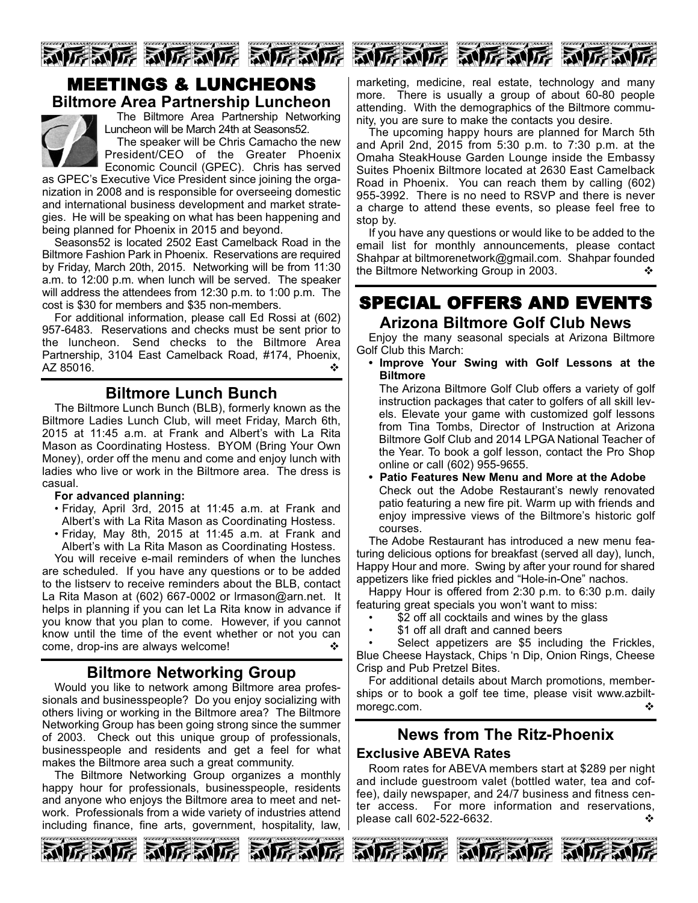

# MEETINGS & LUNCHEONS **Biltmore Area Partnership Luncheon**



The Biltmore Area Partnership Networking Luncheon will be March 24th at Seasons52. The speaker will be Chris Camacho the new

President/CEO of the Greater Phoenix Economic Council (GPEC). Chris has served

as GPEC's Executive Vice President since joining the organization in 2008 and is responsible for overseeing domestic and international business development and market strategies. He will be speaking on what has been happening and being planned for Phoenix in 2015 and beyond.

Seasons52 is located 2502 East Camelback Road in the Biltmore Fashion Park in Phoenix. Reservations are required by Friday, March 20th, 2015. Networking will be from 11:30 a.m. to 12:00 p.m. when lunch will be served. The speaker will address the attendees from 12:30 p.m. to 1:00 p.m. The cost is \$30 for members and \$35 non-members.

For additional information, please call Ed Rossi at (602) 957-6483. Reservations and checks must be sent prior to the luncheon. Send checks to the Biltmore Area Partnership, 3104 East Camelback Road, #174, Phoenix,  $AZ$  85016.  $\bullet$ 

# **Biltmore Lunch Bunch**

The Biltmore Lunch Bunch (BLB), formerly known as the Biltmore Ladies Lunch Club, will meet Friday, March 6th, 2015 at 11:45 a.m. at Frank and Albert's with La Rita Mason as Coordinating Hostess. BYOM (Bring Your Own Money), order off the menu and come and enjoy lunch with ladies who live or work in the Biltmore area. The dress is casual.

#### **For advanced planning:**

- Friday, April 3rd, 2015 at 11:45 a.m. at Frank and Albert's with La Rita Mason as Coordinating Hostess.
- Friday, May 8th, 2015 at 11:45 a.m. at Frank and Albert's with La Rita Mason as Coordinating Hostess.

You will receive e-mail reminders of when the lunches are scheduled. If you have any questions or to be added to the listserv to receive reminders about the BLB, contact La Rita Mason at (602) 667-0002 or Irmason@arn.net. It helps in planning if you can let La Rita know in advance if you know that you plan to come. However, if you cannot know until the time of the event whether or not you can come, drop-ins are always welcome!  $\cdot$ 

# **Biltmore Networking Group**

Would you like to network among Biltmore area professionals and businesspeople? Do you enjoy socializing with others living or working in the Biltmore area? The Biltmore Networking Group has been going strong since the summer of 2003. Check out this unique group of professionals, businesspeople and residents and get a feel for what makes the Biltmore area such a great community.

The Biltmore Networking Group organizes a monthly happy hour for professionals, businesspeople, residents and anyone who enjoys the Biltmore area to meet and network. Professionals from a wide variety of industries attend including finance, fine arts, government, hospitality, law,





marketing, medicine, real estate, technology and many more. There is usually a group of about  $60-80$  people attending. With the demographics of the Biltmore community, you are sure to make the contacts you desire.

The upcoming happy hours are planned for March 5th and April 2nd, 2015 from 5:30 p.m. to 7:30 p.m. at the Omaha SteakHouse Garden Lounge inside the Embassy Suites Phoenix Biltmore located at 2630 East Camelback Road in Phoenix. You can reach them by calling (602) 9553992. There is no need to RSVP and there is never a charge to attend these events, so please feel free to stop by.

If you have any questions or would like to be added to the email list for monthly announcements, please contact Shahpar at biltmorenetwork@gmail.com. Shahpar founded the Biltmore Networking Group in 2003.

# SPECIAL OFFERS AND EVENTS **Arizona Biltmore Golf Club News**

Enjoy the many seasonal specials at Arizona Biltmore Golf Club this March:

**• Improve Your Swing with Golf Lessons at the Biltmore**

The Arizona Biltmore Golf Club offers a variety of golf instruction packages that cater to golfers of all skill levels. Elevate your game with customized golf lessons from Tina Tombs, Director of Instruction at Arizona Biltmore Golf Club and 2014 LPGA National Teacher of the Year. To book a golf lesson, contact the Pro Shop online or call (602) 955-9655.

**• Patio Features New Menu and More at the Adobe** Check out the Adobe Restaurant's newly renovated patio featuring a new fire pit. Warm up with friends and enjoy impressive views of the Biltmore's historic golf courses.

The Adobe Restaurant has introduced a new menu featuring delicious options for breakfast (served all day), lunch, Happy Hour and more. Swing by after your round for shared appetizers like fried pickles and "Hole-in-One" nachos.

Happy Hour is offered from 2:30 p.m. to 6:30 p.m. daily featuring great specials you won't want to miss:

- \$2 off all cocktails and wines by the glass
- \$1 off all draft and canned beers

Select appetizers are \$5 including the Frickles, Blue Cheese Haystack, Chips 'n Dip, Onion Rings, Cheese Crisp and Pub Pretzel Bites.

For additional details about March promotions, memberships or to book a golf tee time, please visit www.azbiltmoregc.com.  $\triangle$ 

# **News from The Ritz-Phoenix**

#### **Exclusive ABEVA Rates**

Room rates for ABEVA members start at \$289 per night and include guestroom valet (bottled water, tea and coffee), daily newspaper, and 24/7 business and fitness center access. For more information and reservations,  $p$ lease call 602-522-6632.  $\bullet$ 

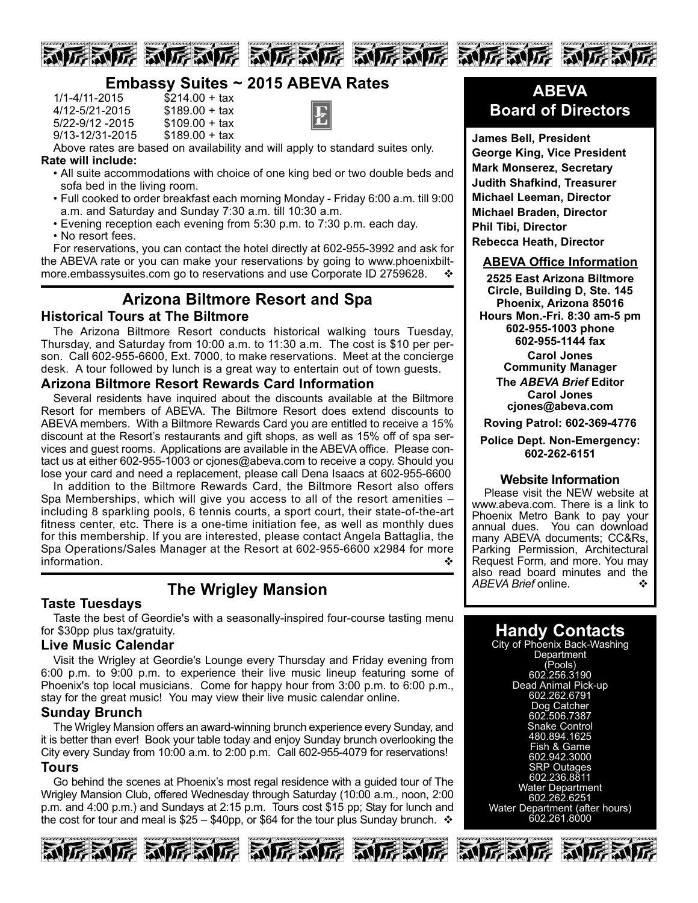

# **Embassy Suites ~ 2015 ABEVA Rates**

| $1/1 - 4/11 - 2015$ | $$214.00 + tax$ |
|---------------------|-----------------|
| 4/12-5/21-2015      | $$189.00 + tax$ |
| 5/22-9/12 -2015     | $$109.00 + tax$ |
| 9/13-12/31-2015     | $$189.00 + tax$ |



Above rates are based on availability and will apply to standard suites only. **Rate will include:**

- All suite accommodations with choice of one king bed or two double beds and sofa bed in the living room.
- Full cooked to order breakfast each morning Monday Friday 6:00 a.m. till 9:00 a.m. and Saturday and Sunday 7:30 a.m. till 10:30 a.m.
- Evening reception each evening from 5:30 p.m. to 7:30 p.m. each day. • No resort fees.

For reservations, you can contact the hotel directly at 602-955-3992 and ask for the ABEVA rate or you can make your reservations by going to www.phoenixbiltmore.embassysuites.com go to reservations and use Corporate ID 2759628.

# **Arizona Biltmore Resort and Spa**

# **Historical Tours at The Biltmore**

The Arizona Biltmore Resort conducts historical walking tours Tuesday, Thursday, and Saturday from 10:00 a.m. to 11:30 a.m. The cost is \$10 per person. Call 602-955-6600, Ext. 7000, to make reservations. Meet at the concierge desk. A tour followed by lunch is a great way to entertain out of town guests.

#### **Arizona Biltmore Resort Rewards Card Information**

Several residents have inquired about the discounts available at the Biltmore Resort for members of ABEVA. The Biltmore Resort does extend discounts to ABEVA members. With a Biltmore Rewards Card you are entitled to receive a 15% discount at the Resort's restaurants and gift shops, as well as 15% off of spa services and guest rooms. Applications are available in the ABEVA office. Please contact us at either 602-955-1003 or cjones@abeva.com to receive a copy. Should you lose your card and need a replacement, please call Dena Isaacs at 602-955-6600

In addition to the Biltmore Rewards Card, the Biltmore Resort also offers Spa Memberships, which will give you access to all of the resort amenities – including 8 sparkling pools, 6 tennis courts, a sport court, their state-of-the-art fitness center, etc. There is a one-time initiation fee, as well as monthly dues for this membership. If you are interested, please contact Angela Battaglia, the Spa Operations/Sales Manager at the Resort at 602-955-6600 x2984 for more information.

# **The Wrigley Mansion Taste Tuesdays**

Taste the best of Geordie's with a seasonally-inspired four-course tasting menu for \$30pp plus tax/gratuity.

### **Live Music Calendar**

Visit the Wrigley at Geordie's Lounge every Thursday and Friday evening from 6:00 p.m. to 9:00 p.m. to experience their live music lineup featuring some of Phoenix's top local musicians. Come for happy hour from 3:00 p.m. to 6:00 p.m., stay for the great music! You may view their live music calendar online.

### **Sunday Brunch**

The Wrigley Mansion offers an award-winning brunch experience every Sunday, and it is better than ever! Book your table today and enjoy Sunday brunch overlooking the City every Sunday from 10:00 a.m. to 2:00 p.m. Call 602-955-4079 for reservations! **Tours**

Go behind the scenes at Phoenix's most regal residence with a guided tour of The Wrigley Mansion Club, offered Wednesday through Saturday (10:00 a.m., noon, 2:00 p.m. and 4:00 p.m.) and Sundays at 2:15 p.m. Tours cost \$15 pp; Stay for lunch and the cost for tour and meal is  $$25 - $40p$ , or \$64 for the tour plus Sunday brunch.  $\cdot \cdot$ 









**James Bell, President George King, Vice President Mark Monserez, Secretary Judith Shafkind, Treasurer Michael Leeman, Director Michael Braden, Director Phil Tibi, Director Rebecca Heath, Director**

#### **ABEVA Office Information**

**2525 East Arizona Biltmore Circle, Building D, Ste. 145 Phoenix, Arizona 85016 Hours Mon.Fri. 8:30 am5 pm 6029551003 phone 6029551144 fax Carol Jones Community Manager The** *ABEVA Brief* **Editor Carol Jones cjones@abeva.com Roving Patrol: 6023694776**

**Police Dept. Non-Emergency: 6022626151**

#### **Website Information**

Please visit the NEW website at www.abeva.com. There is a link to Phoenix Metro Bank to pay your annual dues. You can download many ABEVA documents; CC&Rs, Parking Permission, Architectural Request Form, and more. You may also read board minutes and the ABEVA Brief online.

# **Handy Contacts**

City of Phoenix Back-Washing **Department** (Pools) 602.256.3190 Dead Animal Pick-up 602.262.6791 Dog Catcher 602.506.7387 Snake Control 480.894.1625 Fish & Game 602.942.3000 SRP Outages 602.236.8811 Water Department 602.262.6251 Water Department (after hours) 602.261.8000